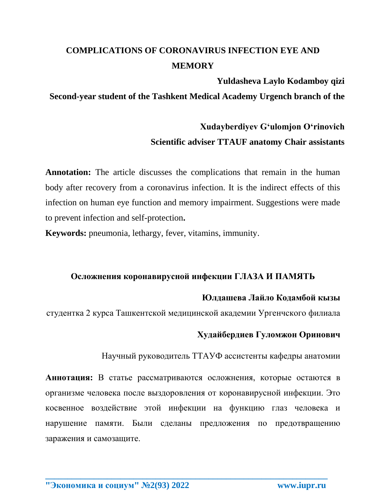# **COMPLICATIONS OF CORONAVIRUS INFECTION EYE AND MEMORY**

### **Yuldasheva Laylo Kodamboy qizi**

**Second-year student of the Tashkent Medical Academy Urgench branch of the** 

## **Xudayberdiyev Gʻulomjon Oʻrinovich Scientific adviser TTAUF anatomy Chair assistants**

**Annotation:** The article discusses the complications that remain in the human body after recovery from a coronavirus infection. It is the indirect effects of this infection on human eye function and memory impairment. Suggestions were made to prevent infection and self-protection**.**

**Keywords:** pneumonia, lethargy, fever, vitamins, immunity.

### **Осложнения коронавирусной инфекции ГЛАЗА И ПАМЯТЬ**

### **Юлдашева Лайло Кодамбой кызы**

студентка 2 курса Ташкентской медицинской академии Ургенчского филиала

### **Худайбердиев Гуломжон Оринович**

Научный руководитель ТТАУФ ассистенты кафедры анатомии

**Аннотация:** В статье рассматриваются осложнения, которые остаются в организме человека после выздоровления от коронавирусной инфекции. Это косвенное воздействие этой инфекции на функцию глаз человека и нарушение памяти. Были сделаны предложения по предотвращению заражения и самозащите.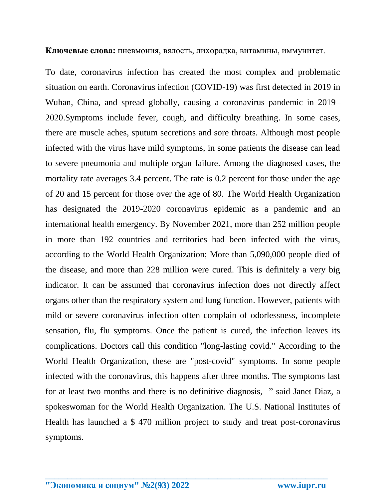**Ключевые слова:** пневмония, вялость, лихорадка, витамины, иммунитет.

To date, coronavirus infection has created the most complex and problematic situation on earth. Coronavirus infection (COVID-19) was first detected in 2019 in Wuhan, China, and spread globally, causing a coronavirus pandemic in 2019– 2020.Symptoms include fever, cough, and difficulty breathing. In some cases, there are muscle aches, sputum secretions and sore throats. Although most people infected with the virus have mild symptoms, in some patients the disease can lead to severe pneumonia and multiple organ failure. Among the diagnosed cases, the mortality rate averages 3.4 percent. The rate is 0.2 percent for those under the age of 20 and 15 percent for those over the age of 80. The World Health Organization has designated the 2019-2020 coronavirus epidemic as a pandemic and an international health emergency. By November 2021, more than 252 million people in more than 192 countries and territories had been infected with the virus, according to the World Health Organization; More than 5,090,000 people died of the disease, and more than 228 million were cured. This is definitely a very big indicator. It can be assumed that coronavirus infection does not directly affect organs other than the respiratory system and lung function. However, patients with mild or severe coronavirus infection often complain of odorlessness, incomplete sensation, flu, flu symptoms. Once the patient is cured, the infection leaves its complications. Doctors call this condition "long-lasting covid." According to the World Health Organization, these are "post-covid" symptoms. In some people infected with the coronavirus, this happens after three months. The symptoms last for at least two months and there is no definitive diagnosis, " said Janet Diaz, a spokeswoman for the World Health Organization. The U.S. National Institutes of Health has launched a \$ 470 million project to study and treat post-coronavirus symptoms.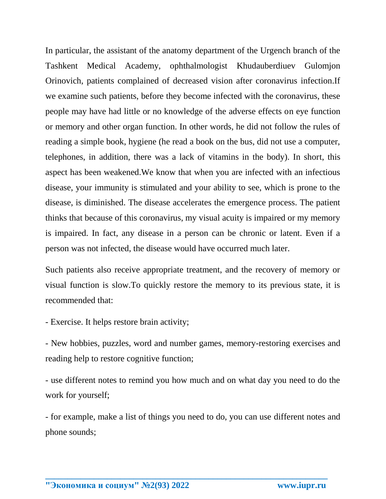In particular, the assistant of the anatomy department of the Urgench branch of the Tashkent Medical Academy, ophthalmologist Khudauberdiuev Gulomjon Orinovich, patients complained of decreased vision after coronavirus infection.If we examine such patients, before they become infected with the coronavirus, these people may have had little or no knowledge of the adverse effects on eye function or memory and other organ function. In other words, he did not follow the rules of reading a simple book, hygiene (he read a book on the bus, did not use a computer, telephones, in addition, there was a lack of vitamins in the body). In short, this aspect has been weakened.We know that when you are infected with an infectious disease, your immunity is stimulated and your ability to see, which is prone to the disease, is diminished. The disease accelerates the emergence process. The patient thinks that because of this coronavirus, my visual acuity is impaired or my memory is impaired. In fact, any disease in a person can be chronic or latent. Even if a person was not infected, the disease would have occurred much later.

Such patients also receive appropriate treatment, and the recovery of memory or visual function is slow.To quickly restore the memory to its previous state, it is recommended that:

- Exercise. It helps restore brain activity;

- New hobbies, puzzles, word and number games, memory-restoring exercises and reading help to restore cognitive function;

- use different notes to remind you how much and on what day you need to do the work for yourself;

- for example, make a list of things you need to do, you can use different notes and phone sounds;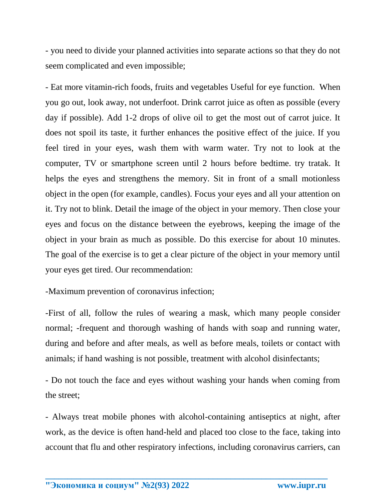- you need to divide your planned activities into separate actions so that they do not seem complicated and even impossible;

- Eat more vitamin-rich foods, fruits and vegetables Useful for eye function. When you go out, look away, not underfoot. Drink carrot juice as often as possible (every day if possible). Add 1-2 drops of olive oil to get the most out of carrot juice. It does not spoil its taste, it further enhances the positive effect of the juice. If you feel tired in your eyes, wash them with warm water. Try not to look at the computer, TV or smartphone screen until 2 hours before bedtime. try tratak. It helps the eyes and strengthens the memory. Sit in front of a small motionless object in the open (for example, candles). Focus your eyes and all your attention on it. Try not to blink. Detail the image of the object in your memory. Then close your eyes and focus on the distance between the eyebrows, keeping the image of the object in your brain as much as possible. Do this exercise for about 10 minutes. The goal of the exercise is to get a clear picture of the object in your memory until your eyes get tired. Our recommendation:

-Maximum prevention of coronavirus infection;

-First of all, follow the rules of wearing a mask, which many people consider normal; -frequent and thorough washing of hands with soap and running water, during and before and after meals, as well as before meals, toilets or contact with animals; if hand washing is not possible, treatment with alcohol disinfectants;

- Do not touch the face and eyes without washing your hands when coming from the street;

- Always treat mobile phones with alcohol-containing antiseptics at night, after work, as the device is often hand-held and placed too close to the face, taking into account that flu and other respiratory infections, including coronavirus carriers, can